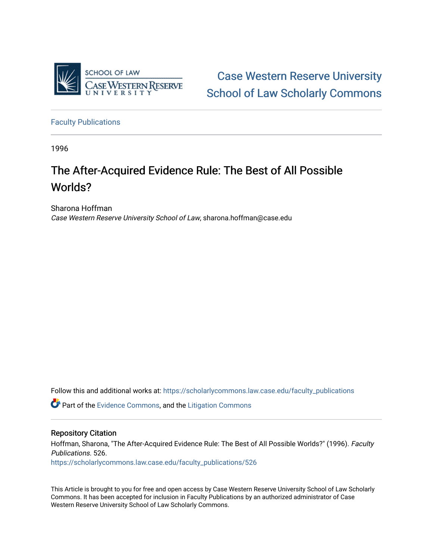

[Case Western Reserve University](https://scholarlycommons.law.case.edu/)  [School of Law Scholarly Commons](https://scholarlycommons.law.case.edu/) 

[Faculty Publications](https://scholarlycommons.law.case.edu/faculty_publications)

1996

# The After-Acquired Evidence Rule: The Best of All Possible Worlds?

Sharona Hoffman Case Western Reserve University School of Law, sharona.hoffman@case.edu

Follow this and additional works at: [https://scholarlycommons.law.case.edu/faculty\\_publications](https://scholarlycommons.law.case.edu/faculty_publications?utm_source=scholarlycommons.law.case.edu%2Ffaculty_publications%2F526&utm_medium=PDF&utm_campaign=PDFCoverPages)

Part of the [Evidence Commons,](http://network.bepress.com/hgg/discipline/601?utm_source=scholarlycommons.law.case.edu%2Ffaculty_publications%2F526&utm_medium=PDF&utm_campaign=PDFCoverPages) and the [Litigation Commons](http://network.bepress.com/hgg/discipline/910?utm_source=scholarlycommons.law.case.edu%2Ffaculty_publications%2F526&utm_medium=PDF&utm_campaign=PDFCoverPages) 

## Repository Citation

Hoffman, Sharona, "The After-Acquired Evidence Rule: The Best of All Possible Worlds?" (1996). Faculty Publications. 526. [https://scholarlycommons.law.case.edu/faculty\\_publications/526](https://scholarlycommons.law.case.edu/faculty_publications/526?utm_source=scholarlycommons.law.case.edu%2Ffaculty_publications%2F526&utm_medium=PDF&utm_campaign=PDFCoverPages)

This Article is brought to you for free and open access by Case Western Reserve University School of Law Scholarly Commons. It has been accepted for inclusion in Faculty Publications by an authorized administrator of Case Western Reserve University School of Law Scholarly Commons.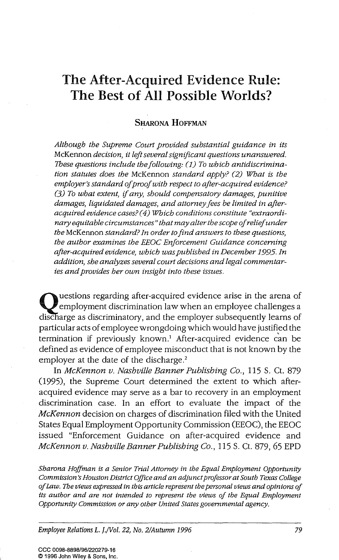# The After-Acquired Evidence Rule: The Best of All Possible Worlds?

#### SHARONA HOFFMAN

*Although the Supreme Court provided substantial guidance in its*  McKennon *decision, it left several significant questions unanswered. These questions include the following: (1) To which antidiscrimination statutes does the* McKennon *standard apply? (2) What is the employer's standard of proof with respect to after-acquired evidence? (3) To what extent, if any, should compensatory damages, punitive damages, liquidated damages, and attomey fees be limited in afteracquired evidence cases? ( 4) Which conditions constitute "extraordinary equitable circumstances" that may alter the scope of relief under the* McKennon *standard? In order to find answers to these questions, the author examines the EEOC Enforcement Guidance conceming after-acquired evidence, which was published in December 1995.In addition, she analyzes several court decisions and legal commentaries and provides her own insight into these issues.* 

 $\mathbf{Q}_{\text{disch}}$ uestions regarding after-acquired evidence arise in the arena of employment discrimination law when an employee challenges a discharge as discriminatory, and the employer subsequently learns of particular acts of employee wrongdoing which would have justified the termination if previously known.<sup>1</sup> After-acquired evidence can be defined as evidence of employee misconduct that is not known by the employer at the date of the discharge.<sup>2</sup>

In *McKennon v. Nashville Banner Publishing Co.,* 115 S. Ct. 879 (1995), the Supreme Court determined the extent to which afteracquired evidence may serve as a bar to recovery in an employment discrimination case. In an effort to evaluate the impact of the *McKennon* decision on charges of discrimination filed with the United States Equal Employment Opportunity Commission (EEOC), the EEOC issued "Enforcement Guidance on after-acquired evidence and *McKennon v. Nashville Banner Publishing Co.,* 115 S. Ct. 879, 65 EPD

*Sharona Hoffman is a Senior Trial Attorney in the Equal Employment Opportunity Commission's Houston District Office and an adjunct professor at South Texas College of Law. The views expressed in this article represent the personal views and opinions of*  its author and are not intended to represent the views of the Equal Employment *Opportunity Commission or any other United States governmental agency.* 

*Employee Relations L. !./Vol. 22, No. 2/Autumn 1996* 

CCC 0098-8898/96/220279-16 ~ 1996 John Wiley & Sons, Inc.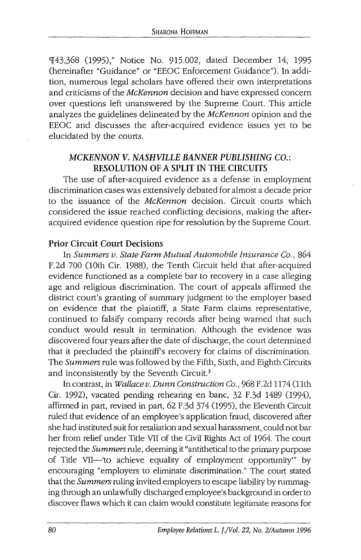9[43,368 (1995)," Notice No. 915.002, dated December 14, 1995 (hereinafter "Guidance" or "EEOC Enforcement Guidance"). In addition, numerous legal scholars have offered their own interpretations and criticisms of the *McKennon* decision and have expressed concern over questions left unanswered by the Supreme Court. This article analyzes the guidelines delineated by the *McKennon* opinion and the EEOC and discusses the after-acquired evidence issues yet to be elucidated by the courts.

# *MCKENNON V. NASHVILLE BANNER PUBLISHING* CO.: RESOLUTION OF A SPLIT IN THE CIRCUITS

The use of after-acquired evidence as a defense in employment discrimination cases was extensively debated for almost a decade prior to the issuance of the *McKennon* decision. Circuit courts which considered the issue reached conflicting decisions, making the afteracquired evidence question ripe for resolution by the Supreme Court.

# Prior Circuit Court Decisions

In *Summers v. State Farm Mutual Automobile Insurance Co.,* 864 F.2d 700 (lOth Cir. 1988), the Tenth Circuit held that after-acquired evidence functioned as a complete bar to recovery in a case alleging age and religious discrimination. The court of appeals affirmed the district court's granting of summary judgment to the employer based on evidence that the plaintiff, a State Farm claims representative, continued to falsify company records after being warned that such conduct would result in termination. Although the evidence was discovered four years after the date of discharge, the court determined that it precluded the plaintiff's recovery for claims of discrimination. The *Summers* rule was followed by the Fifth, Sixth, and Eighth Circuits and inconsistently by the Seventh Circuit.<sup>3</sup>

In contrast, in *Wallacev. Dunn Construction Co.,* 968 F.2d 1174 (11th Cir. 1992), vacated pending rehearing en bane, 32 F.3d 1489 (1994), affirmed in part, revised in part, 62 F.3d 374 (1995), the Eleventh Circuit ruled that evidence of an employee's application fraud, discovered after she had instituted suit for retaliation and sexual harassment, could not bar her from relief under Title VII of the Civil Rights Act of 1964. The court rejected the *Summers* rule, deeming it "antithetical to the primary purpose of Title VII-'to achieve equality of employment opportunity"' by encouraging "employers to eliminate discrimination." The court stated that the *Summers* ruling invited employers to escape liability by rummaging through an unlawfully discharged employee's background in order to discover flaws which it can claim would constitute legitimate reasons for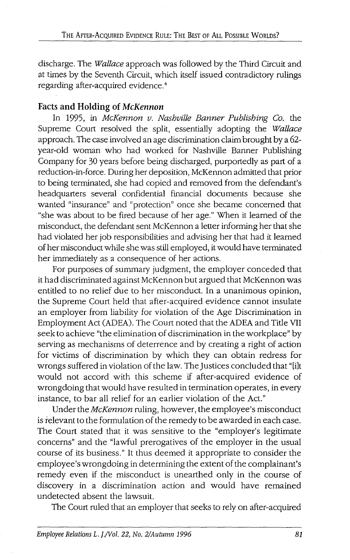discharge. The *Wallace* approach was followed by the Third Circuit and at times by the Seventh Circuit, which itself issued contradictory rulings regarding after-acquired evidence.4

# **Facts and Holding of** *McKennon*

In 1995, in *McKennon v. Nashville Banner Publishing Co.* the Supreme Court resolved the split, essentially adopting the *Wallace*  approach. The case involved an age discrimination claim brought by a 62 year-old woman who had worked for Nashville Banner Publishing Company for 30 years before being discharged, purportedly as part of a reduction-in-force. During her deposition, McKennon admitted that prior to being terminated, she had copied and removed from the defendant's headquarters several confidential financial documents because she wanted "insurance" and "protection" once she became concerned that "she was about to be fired because of her age." When it learned of the misconduct, the defendant sent McKennon a letter informing her that she had violated her job responsibilities and advising her that had it learned of her misconduct while she was still employed, it would have terminated her immediately as a consequence of her actions.

For purposes of summary judgment, the employer conceded that it had discriminated against McKennon but argued that McKennon was entitled to no relief due to her misconduct. In a unanimous opinion, the Supreme Court held that after-acquired evidence cannot insulate an employer from liability for violation of the Age Discrimination in Employment Act (ADEA). The Court noted that the ADEA and Title VII seek to achieve "the elimination of discrimination in the workplace" by serving as mechanisms of deterrence and by creating a right of action for victims of discrimination by which they can obtain redress for wrongs suffered in violation of the law. The Justices concluded that "[i]t would not accord with this scheme if after-acquired evidence of wrongdoing that would have resulted in termination operates, in every instance, to bar all relief for an earlier violation of the Act."

Under the *McKennon* ruling, however, the employee's misconduct is relevant to the formulation of the remedy to be awarded in each case. The Court stated that it was sensitive to the "employer's legitimate concerns" and the "lawful prerogatives of the employer in the usual course of its business." It thus deemed it appropriate to consider the employee's wrongdoing in determining the extent of the complainant's remedy even if the misconduct is unearthed only in the course of discovery in a discrimination action and would have remained undetected absent the lawsuit.

The Court ruled that an employer that seeks to rely on after-acquired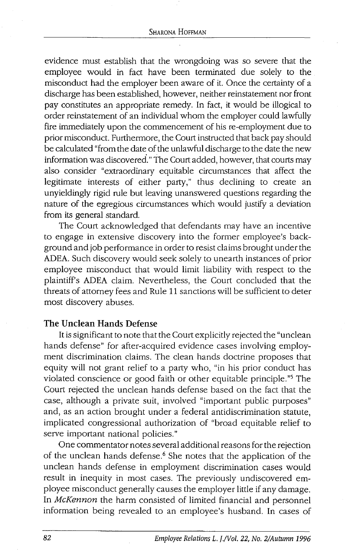evidence must establish that the wrongdoing was so severe that the employee would in fact have been terminated due solely to the misconduct had the employer been aware of it. Once the certainty of a discharge has been established, however, neither reinstatement nor front pay constitutes an appropriate remedy. In fact, it would be illogical to order reinstatement of an individual whom the employer could lawfully fire immediately upon the commencement of his re-employment due to prior misconduct. Furthermore, the Court instructed that back pay should be calculated "from the date of the unlawful discharge to the date the new information was discovered." The Court added, however, that courts may also consider "extraordinary equitable circumstances that affect the legitimate interests of either party," thus declining to create an unyieldingly rigid rule but leaving unanswered questions regarding the nature of the egregious circumstances which would justify a deviation from its general standard.

The Court acknowledged that defendants may have an incentive to engage in extensive discovery into the former employee's background and job performance in order to resist claims brought under the ADEA. Such discovery would seek solely to unearth instances of prior employee misconduct that would limit liability with respect to the plaintiffs ADEA claim. Nevertheless, the Court concluded that the threats of attorney fees and Rule 11 sanctions will be sufficient to deter most discovery abuses.

#### The Unclean Hands Defense

It is significant to note that the Court explicitly rejected the "unclean hands defense" for after-acquired evidence cases involving employment discrimination claims. The clean hands doctrine proposes that equity will not grant relief to a party who, "in his prior conduct has violated conscience or good faith or other equitable principle."5 The Court rejected the unclean hands defense based on the fact that the case, although a private suit, involved "important public purposes" and, as an action brought under a federal antidiscrimination statute, implicated congressional authorization of "broad equitable relief to serve important national policies."

One commentator notes several additional reasons for the rejection of the unclean hands defense.<sup>6</sup> She notes that the application of the unclean hands defense in employment discrimination cases would result in inequity in most cases. The previously undiscovered employee misconduct generally causes the employer little if any damage. In McKennon the harm consisted of limited financial and personnel information being revealed to an employee's husband. In cases of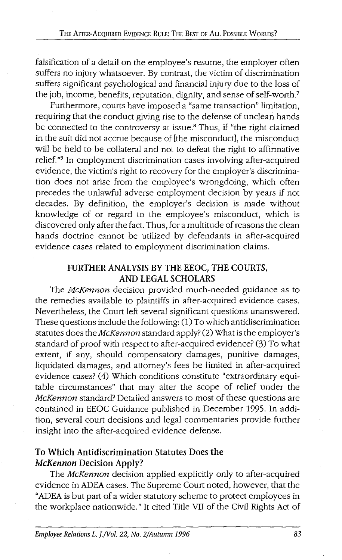falsification of a detail on the employee's resume, the employer often suffers no injury whatsoever. By contrast, the victim of discrimination suffers significant psychological and financial injury due to the loss of the job, income, benefits, reputation, dignity, and sense of self-worth?

Furthermore, courts have imposed a "same transaction" limitation, requiring that the conduct giving rise to the defense of unclean hands be connected to the controversy at issue.<sup>8</sup> Thus, if "the right claimed in the suit did not accrue because of [the misconduct], the misconduct will be held to be collateral and not to defeat the right to affirmative relief."<sup>9</sup> In employment discrimination cases involving after-acquired evidence, the victim's right to recovery for the employer's discrimination does not arise from the employee's wrongdoing, which often precedes the unlawful adverse employment decision by years if not decades. By definition, the employer's decision is made without knowledge of or regard to the employee's misconduct, which is discovered only after the fact. Thus, for a multitude of reasons the clean hands doctrine cannot be utilized by defendants in after-acquired evidence cases related to employment discrimination claims.

# FURTHER ANALYSIS BY THE EEOC, THE COURTS, AND LEGAL SCHOLARS

The *McKennon* decision provided much-needed guidance as to the remedies available to plaintiffs in after-acquired evidence cases. Nevertheless, the Court left several significant questions unanswered. These questions include the following: (1) To which antidiscrimination statutes does the McKennon standard apply? (2) What is the employer's standard of proof with respect to after-acquired evidence? (3) To what extent, if any, should compensatory damages, punitive damages, liquidated damages, and attorney's fees be limited in after-acquired evidence cases? (4) Which conditions constitute "extraordinary equitable circumstances" that may alter the scope of relief under the McKennon standard? Detailed answers to most of these questions are contained in EEOC Guidance published in December 1995. In addition, several court decisions and legal commentaries provide further insight into the after-acquired evidence defense.

# To Which Antidiscrimination Statutes Does the *McKennon* Decision Apply?

The McKennon decision applied explicitly only to after-acquired evidence in ADEA cases. The Supreme Court noted, however, that the "ADEA is but part of a wider statutory scheme to protect employees in the workplace nationwide." It cited Title VII of the Civil Rights Act of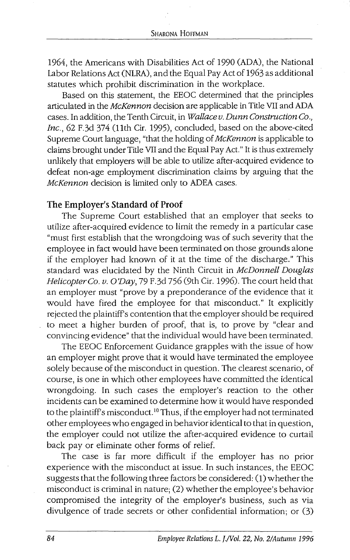1964, the Americans with Disabilities Act of 1990 (ADA), the National Labor Relations Act (NLRA), and the Equal Pay Act of 1963 as additional statutes which prohibit discrimination in the workplace.

Based on this statement, the EEOC determined that the principles articulated in the *McKennon* decision are applicable in Title VII and ADA cases. In addition, the Tenth Circuit, in *Wallacev. Dunn Construction Co., Inc.,* 62 F.3d 374 (11th Cir. 1995), concluded, based on the above-cited Supreme Court language, "that the holding of *McKennon* is applicable to claims brought under Title VII and the Equal Pay Act." It is thus extremely unlikely that employers will be able to utilize after-acquired evidence to defeat non-age employment discrimination claims by arguing that the *McKennon* decision is limited only to ADEA cases.

#### **The Employer's Standard of Proof**

The Supreme Court established that an employer that seeks to utilize after-acquired evidence to limit the remedy in a particular case "must first establish that the wrongdoing was of such severity that the employee in fact would have been terminated on those grounds alone if the employer had known of it at the time of the discharge." This standard was elucidated by the Ninth Circuit in *McDonnell Douglas Helicopter Co. v. O'Day,* 79 F.3d 756 (9th Cir. 1996). The court held that an employer must "prove by a preponderance of the evidence that it would have fired the employee for that misconduct." It explicitly rejected the plaintiffs contention that the employer should be required to meet a higher burden of proof, that is, to prove by "clear and convincing evidence" that the individual would have been terminated.

The EEOC Enforcement Guidance grapples with the issue of how an employer might prove that it would have terminated the employee solely because of the misconduct in question. The clearest scenario, of course, is one in which other employees have committed the identical wrongdoing. In such cases the employer's reaction to the other incidents can be examined to determine how it would have responded to the plaintiffs misconduct. 10 Thus, if the employer had not terminated other employees who engaged in behavior identical to that in question, the employer could not utilize the after-acquired evidence to curtail back pay or eliminate other forms of relief.

The case is far more difficult if the employer has no prior experience with the misconduct at issue. In such instances, the EEOC suggests that the following three factors be considered: (1) whether the misconduct is criminal in nature; (2) whether the employee's behavior compromised the integrity of the employer's business, such as via divulgence of trade secrets or other confidential information; or (3)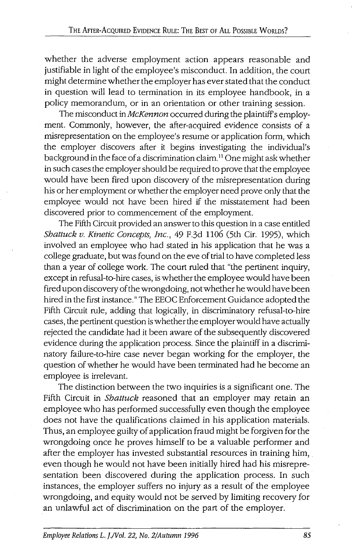whether the adverse employment action appears reasonable and justifiable in light of the employee's misconduct. In addition, the court might determine whether the employer has ever stated that the conduct in question will lead to termination in its employee handbook, in a policy memorandum, or in an orientation or other training session.

The misconduct in *McKennon* occurred during the plaintiff's employment. Commonly, however, the after-acquired evidence consists of a misrepresentation on the employee's resume or application form, which the employer discovers after it begins investigating the individual's background in the face of a discrimination claim. <sup>11</sup>One might ask whether in such cases the employer should be required to prove that the employee would have been fired upon discovery of the misrepresentation during his or her employment or whether the employer need prove only that the employee would not have been hired if the misstatement had been discovered prior to commencement of the employment.

The Fifth Circuit provided an answer to this question in a case entitled *Shattuck v. Kinetic Concepts, Inc.,* 49 F.3d 1106 (5th Cir. 1995), which involved an employee who had stated in his application that he was a college graduate, but was found on the eve of trial to have completed less than a year of college work. The court ruled that "the pertinent inquiry, except in refusal-to-hire cases, is whether the employee would have been fired upon discovery of the wrongdoing, not whether he would have been hired in the first instance." The EEOC Enforcement Guidance adopted the Fifth Circuit rule, adding that logically, in discriminatory refusal-to-hire cases, the pertinent question is whether the employer would have actually rejected the candidate had it been aware of the subsequently discovered evidence during the application process. Since the plaintiff in a discriminatory failure-to-hire case never began working for the employer, the question of whether he would have been terminated had he become an employee is irrelevant.

The distinction between the two inquiries is a significant one. The Fifth Circuit in *Shattuck* reasoned that an employer may retain an employee who has performed successfully even though the employee does not have the qualifications claimed in his application materials. Thus, an employee guilty of application fraud might be forgiven for the wrongdoing once he proves himself to be a valuable performer and after the employer has invested substantial resources in training him, even though he would not have been initially hired had his misrepresentation been discovered during the application process. In such instances, the employer suffers no injury as a result of the employee wrongdoing, and equity would not be served by limiting recovery for an unlawful act of discrimination on the part of the employer.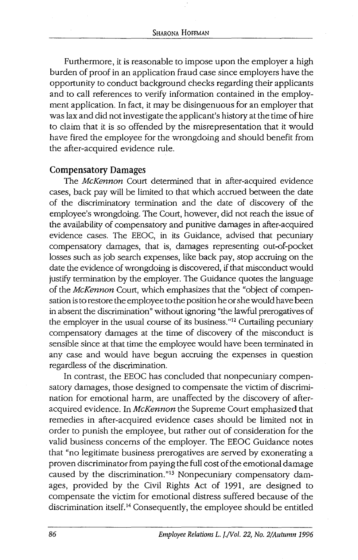Furthermore, it is reasonable to impose upon the employer a high burden of proof in an application fraud case since employers have the opportunity to conduct background checks regarding their applicants and to call references to verify information contained in the employment application. In fact, it may be disingenuous for an employer that was lax and did not investigate the applicant's history at the time of hire to claim that it is so offended by the misrepresentation that it would have fired the employee for the wrongdoing and should benefit from the after-acquired evidence rule.

#### **Compensatory Damages**

The McKennon Court determined that in after-acquired evidence cases, back pay will be limited to that which accrued between the date of the discriminatory termination and the date of discovery of the employee's wrongdoing. The Court, however, did not reach the issue of the availability of compensatory and punitive damages in after-acquired evidence cases. The EEOC, in its Guidance, advised that pecuniary compensatory damages, that is, damages representing out-of-pocket losses such as job search expenses, like back pay, stop accruing on the date the evidence of wrongdoing is discovered, if that misconduct would justify termination by the employer. The Guidance quotes the language of the McKennon Court, which emphasizes that the "object of compensation is to restore the employee to the position he or she would have been in absent the discrimination" without ignoring "the lawful prerogatives of the employer in the usual course of its business. "12 Curtailing pecuniary compensatory damages at the time of discovery of the misconduct is sensible since at that time the employee would have been terminated in any case and would have begun accruing the expenses in question regardless of the discrimination.

In contrast, the EEOC has concluded that nonpecuniary compensatory damages, those designed to compensate the victim of discrimination for emotional harm, are unaffected by the discovery of afteracquired evidence. In McKennon the Supreme Court emphasized that remedies in after-acquired evidence cases should be limited not in order to punish the employee, but rather out of consideration for the valid business concerns of the employer. The EEOC Guidance notes that "no legitimate business prerogatives are served by exonerating a proven discriminator from paying the full cost of the emotional damage caused by the discrimination."<sup>13</sup> Nonpecuniary compensatory damages, provided by the Civil Rights Act of 1991, are designed to compensate the victim for emotional distress suffered because of the discrimination itself. 14 Consequently, the employee should be entitled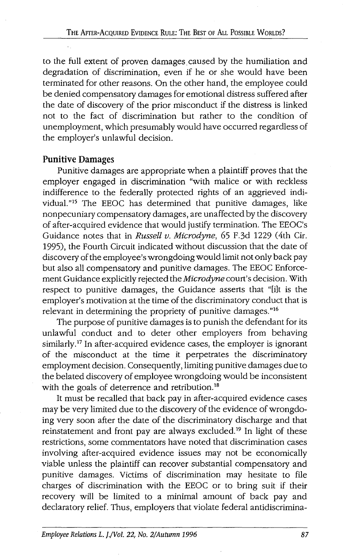to the full extent of proven damages. caused by the humiliation and degradation of discrimination, even if he or she would have been terminated for other reasons. On the other hand, the employee could be denied compensatory damages for emotional distress suffered after the date of discovery of the prior misconduct if the distress is linked not to the fact of discrimination but rather to the condition of unemployment, which presumably would have occurred regardless of the employer's unlawful decision.

#### Punitive Damages

Punitive damages are appropriate when a plaintiff proves that the employer engaged in discrimination "with malice or with reckless indifference to the federally protected rights of an aggrieved individual."15 The EEOC has determined that punitive damages, like nonpecuniary compensatory damages, are unaffected by the discovery of after-acquired evidence that would justify termination. The EEOC's Guidance notes that in *Russell v. Microdyne,* 65 F.3d 1229 (4th Cir. 1995), the Fourth Circuit indicated without discussion that the date of discovery of the employee's wrongdoing would limit not only back pay but also all compensatory and punitive damages. The EEOC Enforcement Guidance explicitly rejected the *Microdyne* court's decision. With respect to punitive damages, the Guidance asserts that "[i]t is the employer's motivation at the time of the discriminatory conduct that is relevant in determining the propriety of punitive damages."16

The purpose of punitive damages is to punish the defendant for its unlawful conduct and to deter other employers from behaving similarly.<sup>17</sup> In after-acquired evidence cases, the employer is ignorant of the misconduct at the time it perpetrates the discriminatory employment decision. Consequently, limiting punitive damages due to the belated discovery of employee wrongdoing would be inconsistent with the goals of deterrence and retribution.<sup>18</sup>

It must be recalled that back pay in after-acquired evidence cases may be very limited due to the discovery of the evidence of wrongdoing very soon after the date of the discriminatory discharge and that reinstatement and front pay are always excluded.19 In light of these restrictions, some commentators have noted that discrimination cases involving after-acquired evidence issues may not be economically viable unless the plaintiff can recover substantial compensatory and punitive damages. Victims of discrimination may hesitate to file charges of discrimination with the EEOC or to bring suit if their recovery will be limited to a minimal amount of back pay and declaratory relief. Thus, employers that violate federal antidiscrimina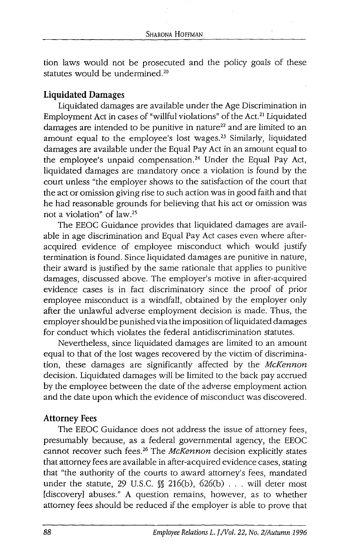tion laws would not be prosecuted and the policy goals of these statutes would be undermined.<sup>20</sup>

## **Liquidated Damages**

Liquidated damages are available under the Age Discrimination in Employment Act in cases of "willful violations" of the Act. 21 Liquidated damages are intended to be punitive in nature<sup>22</sup> and are limited to an amount equal to the employee's lost wages.<sup>23</sup> Similarly, liquidated damages are available under the Equal Pay Act in an amount equal to the employee's unpaid compensation. 24 Under the Equal Pay Act, liquidated damages are mandatory once a violation is found by the court unless "the employer shows to the satisfaction of the court that the act or omission giving rise to such action was in good faith and that he had reasonable grounds for believing that his act or omission was not a violation" of law.25

The EEOC Guidance provides that liquidated damages are available in age discrimination and Equal Pay Act cases even where afteracquired evidence of employee misconduct which would justify termination is found. Since liquidated damages are punitive in nature, their award is justified by the same rationale that applies to punitive damages, discussed above. The employer's motive in after-acquired evidence cases is in fact discriminatory since the proof of prior employee misconduct is a windfall, obtained by the employer only after the unlawful adverse employment decision is made. Thus, the employer should be punished via the imposition of liquidated damages for conduct which violates the federal antidiscrimination statutes.

Nevertheless, since liquidated damages are limited to an amount equal to that of the lost wages recovered by the victim of discrimination, these damages are significantly affected by the McKennon decision. Liquidated damages will be limited to the back pay accrued by the employee between the date of the adverse employment action and the date upon which the evidence of misconduct was discovered.

#### **Attorney Fees**

The EEOC Guidance does not address the issue of attorney fees, presumably because, as a federal governmental agency, the EEOC cannot recover such fees.<sup>26</sup> The McKennon decision explicitly states that attorney fees are available in after-acquired evidence cases, stating that "the authority of the courts to award attorney's fees, mandated under the statute, 29 U.S.C.  $\mathcal{N}$  216(b), 626(b) . . . will deter most [discovery] abuses." A question remains, however, as to whether attorney fees should be reduced if the employer is able to prove that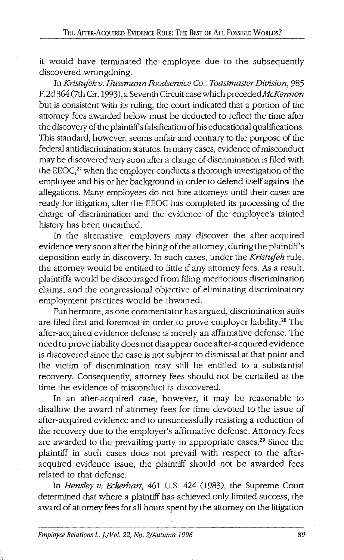it would have terminated the employee due to the subsequently discovered wrongdoing.

In *Kristufek v. Hussmann Foodservice Co., Toastmaster Division,* 985 F.2d 364 (7th Cir. 1993), a Seventh Circuit case which *precededMcKennon*  but is consistent with its ruling, the court indicated that a portion of the attorney fees awarded below must be deducted to reflect the time after the discovery of the plaintiff's falsification of his educational qualifications. This standard, however, seems unfair and contrary to the purpose of the federal antidiscrimination statutes. In many cases, evidence of misconduct may be discovered very soon after a charge of discrimination is filed with the EEOC, $^{27}$  when the employer conducts a thorough investigation of the employee and his or her background in order to defend itself against the allegations. Many employees do not hire attorneys until their cases are ready for litigation, after the EEOC has completed its processing of the charge of discrimination and the evidence of the employee's tainted history has been unearthed.

In the alternative, employers may discover the after-acquired evidence very soon after the hiring of the attorney, during the plaintiff's deposition early in discovery. In such cases, under the *Kristufek* rule, the attorney would be entitled to little if any attorney fees. As a result, plaintiffs would be discouraged from filing meritorious discrimination claims, and the congressional objective of eliminating discriminatory employment practices would be thwarted.

Furthermore, as one commentator has argued, discrimination suits are filed first and foremost in order to prove employer liability.28 The after-acquired evidence defense is merely an affirmative defense. The need to prove liability does not disappear once after-acquired evidence is discovered since the case is not subject to dismissal at that point and the victim of discrimination may still be entitled to a substantial recovery. Consequently, attorney fees should not be curtailed at the time the evidence of misconduct is discovered.

In an after-acquired case, however, it may be reasonable to disallow the award of attorney fees for time devoted to the issue of after-acquired evidence and to unsuccessfully resisting a reduction of the recovery due to the employer's affirmative defense. Attorney fees are awarded to the prevailing party in appropriate cases.29 Since the plaintiff in such cases does not prevail with respect to the afteracquired evidence issue, the plaintiff should not be awarded fees related to that defense.

In *Hensley v. Eckerhart,* 461 U.S. 424 (1983), the Supreme Court determined that where a plaintiff has achieved only limited success, the award of attorney fees for all hours spent by the attorney on the litigation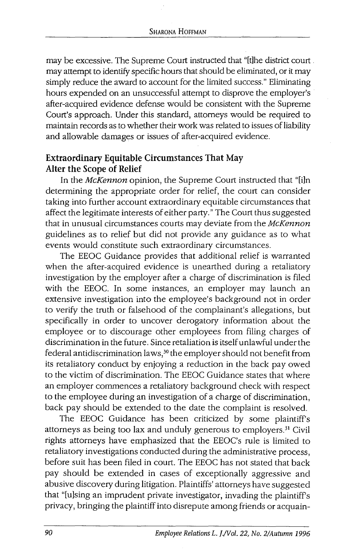may be excessive. The Supreme Court instructed that "[t]he district court may attempt to identify specific hours that should be eliminated, or it may simply reduce the award to account for the limited success." Eliminating hours expended on an unsuccessful attempt to disprove the employer's after-acquired evidence defense would be consistent with the Supreme Court's approach. Under this standard, attorneys would be required to maintain records as to whether their work was related to issues of liability and allowable damages or issues of after-acquired evidence.

# **Extraordinary Equitable Circumstances That May Alter the Scope of Relief**

In the McKennon opinion, the Supreme Court instructed that "[i]n determining the appropriate order for relief, the court can consider taking into further account extraordinary equitable circumstances that affect the legitimate interests of either party." The Court thus suggested that in unusual circumstances courts may deviate from the McKennon guidelines as to relief but did not provide any guidance as to what events would constitute such extraordinary circumstances.

The EEOC Guidance provides that additional relief is warranted when the after-acquired evidence is unearthed during a retaliatory investigation by the employer after a charge of discrimination is filed with the EEOC. In some instances, an employer may launch an extensive investigation into the employee's background not in order to verify the truth or falsehood of the complainant's allegations, but specifically in order to uncover derogatory information about the employee or to discourage other employees from filing charges of discrimination in the future. Since retaliation is itself unlawful under the federal antidiscrimination laws, 30 the employer should not benefit from its retaliatory conduct by enjoying a reduction in the back pay owed to the victim of discrimination. The EEOC Guidance states that where an employer commences a retaliatory background check with respect to the employee during an investigation of a charge of discrimination, back pay should be extended to the date the complaint is resolved.

The EEOC Guidance has been criticized by some plaintiff's attorneys as being too lax and unduly generous to employers.<sup>31</sup> Civil rights attorneys have emphasized that the EEOC's rule is limited to retaliatory investigations conducted during the administrative process, before suit has been filed in court. The EEOC has not stated that back pay should be extended in cases of exceptionally aggressive and abusive discovery during litigation. Plaintiffs' attorneys have suggested that "[u]sing an imprudent private investigator, invading the plaintiff's privacy, bringing the plaintiff into disrepute among friends or acquain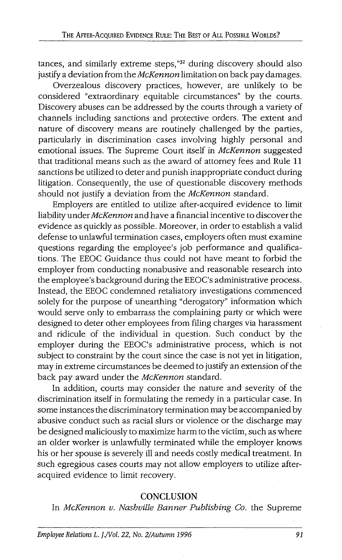tances, and similarly extreme steps,"<sup>32</sup> during discovery should also justify a deviation from the McKennon limitation on back pay damages.

Overzealous discovery practices, however, are unlikely to be considered "extraordinary equitable circumstances" by the courts. Discovery abuses can be addressed by the courts through a variety of channels including sanctions and protective orders. The extent and nature of discovery means are routinely challenged by the parties, particularly in discrimination cases involving highly personal and emotional issues. The Supreme Court itself in *McKennon* suggested that traditional means such as the award of attorney fees and Rule 11 sanctions be utilized to deter and punish inappropriate conduct during litigation. Consequently, the use of questionable discovery methods should not justify a deviation from the McKennon standard.

Employers are entitled to utilize after-acquired evidence to limit liability under McKennon and have a financial incentive to discover the evidence as quickly as possible. Moreover, in order to establish a valid defense to unlawful termination cases, employers often must examine questions regarding the employee's job performance and qualifications. The EEOC Guidance thus could not have meant to forbid the employer from conducting nonabusive and reasonable research into the employee's background during the EEOC's administrative process. Instead, the EEOC condemned retaliatory investigations commenced solely for the purpose of unearthing "derogatory" information which would serve only to embarrass the complaining party or which were designed to deter other employees from filing charges via harassment and ridicule of the individual in question. Such conduct by the employer during the EEOC's administrative process, which is not subject to constraint by the court since the case is not yet in litigation, may in extreme circumstances be deemed to justify an extension of the back pay award under the McKennon standard.

In addition, courts may consider the nature and severity of the discrimination itself in formulating the remedy in a particular case. In some instances the discriminatory termination may be accompanied by abusive conduct such as racial slurs or violence or the discharge may be designed maliciously to maximize harm to the victim, such as where an older worker is unlawfully terminated while the employer knows his or her spouse is severely ill and needs costly medical treatment. In such egregious cases courts may not allow employers to utilize afteracquired evidence to limit recovery.

#### **CONCLUSION**

In McKennon v. Nashville Banner Publishing Co. the Supreme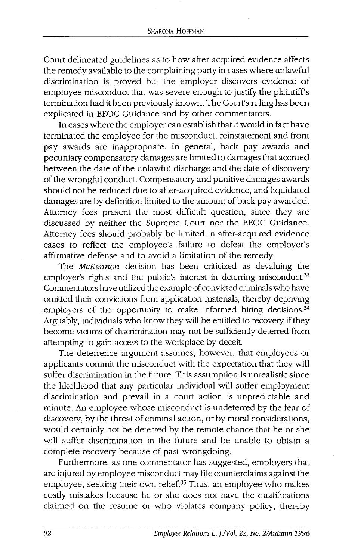Court delineated guidelines as to how after-acquired evidence affects the remedy available to the complaining party in cases where unlawful discrimination is proved but the employer discovers evidence of employee misconduct that was severe enough to justify the plaintiff's termination had it been previously known. The Court's ruling has been explicated in EEOC Guidance and by other commentators.

In cases where the employer can establish that it would in fact have terminated the employee for the misconduct, reinstatement and front pay awards are inappropriate. In general, back pay awards and pecuniary compensatory damages are limited to damages that accrued between the date of the unlawful discharge and the date of discovery of the wrongful conduct. Compensatory and punitive damages awards should not be reduced due to after-acquired evidence, and liquidated damages are by definition limited to the amount of back pay awarded. Attorney fees present the most difficult question, since they are discussed by neither the Supreme Court nor the EEOC Guidance. Attorney fees should probably be limited in after-acquired evidence cases to reflect the employee's failure to defeat the employer's affirmative defense and to avoid a limitation of the remedy.

The McKennon decision has been criticized as devaluing the employer's rights and the public's interest in deterring misconduct.<sup>33</sup> Commentators have utilized the example of convicted criminals who have omitted their convictions from application materials, thereby depriving employers of the opportunity to make informed hiring decisions.<sup>34</sup> Arguably, individuals who know they will be entitled to recovery if they become victims of discrimination may not be sufficiently deterred from attempting to gain access to the workplace by deceit.

The deterrence argument assumes, however, that employees or applicants commit the misconduct with the expectation that they will suffer discrimination in the future. This assumption is unrealistic since the likelihood that any particular individual will suffer employment discrimination and prevail in a court action is unpredictable and minute. An employee whose misconduct is undeterred by the fear of discovery, by the threat of criminal action, or by moral considerations, would certainly not be deterred by the remote chance that he or she will suffer discrimination in the future and be unable to obtain a complete recovery because of past wrongdoing.

Furthermore, as one commentator has suggested, employers that are injured by employee misconduct may file counterclaims against the employee, seeking their own relief.35 Thus, an employee who makes costly mistakes because he or she does not have the qualifications claimed on the resume or who violates company policy, thereby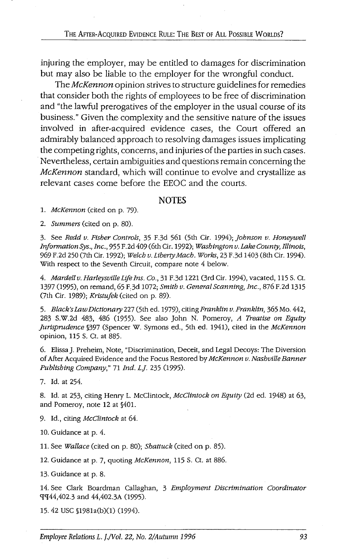injuring the employer, may be entitled to damages for discrimination but may also be liable to the employer for the wrongful conduct.

The McKennon opinion strives to structure guidelines for remedies that consider both the rights of employees to be free of discrimination and "the lawful prerogatives of the employer in the usual course of its business." Given the. complexity and the sensitive nature of the issues involved in after-acquired evidence cases, the Court offered an admirably balanced approach to resolving damages issues implicating the competing rights, concerns, and injuries of the parties in such cases. Nevertheless, certain ambiguities and questions remain concerning the McKennon standard, which will continue to evolve and crystallize as relevant cases come before the EEOC and the courts.

#### **NOTES**

1. *McKennon* (cited on p. 79).

2. *Summers* (cited on p. 80).

3. See *Redd v. Ftsher Controls,* 35 F.3d 561 (5th Cir. 1994); *johnson v. Honeywell InformationSys., Inc.,* 955 F.2d 409 (6th Cir. 1992); *Washington v. Lake County, Illinois,*  969 F.2d 250 (7th Cir. 1992); *Welch v. Liberty Mach. Works,* 23 F.3d 1403 (8th Cir. 1994). With respect to the Seventh Circuit, compare note 4 below.

4. *Mardell v. Harleysville Life Ins. Co.,* 31 F.3d 1221 (3rd Cir. 1994), vacated, 115 S. Ct. 1397 (1995), on remand, 65 F,3d 1072; *Smith v. General Scanning, Inc.,* 876 F.2d 1315 (7th Cir. 1989); *Krtstufek* (cited on p. 89).

5. *Black's* Law *Dictionary* 227 (5th ed. 1979), citing *Franklin v. Franklin,* 365 Mo. 442, 283 S.W.2d 483, 486 (1955). See also John N. Pomeroy, *A Treatise on Equity jurisprudence* §397 (Spencer W. Symons ed., 5th ed. 1941), cited in the *McKennon*  opinion, 115 S. Ct. at 885.

6. Elissa]. Preheim, Note, "Discrimination, Deceit, and Legal Decoys: The Diversion of After Acquired Evidence and the Focus Restored by *McKennon v. Nashville Banner Publishing Company,"* 71 *Ind. Lj.* 235 (1995).

7. Id. at 254.

8. Id. at 253, citing Henry L. McClintock, *McClintock on Equity* (2d ed. 1948) at 63, and Pomeroy, note 12 at §401.

9. Id., citing *McClintock* at 64.

10. Guidance at p. 4.

11. See *Wallace* (cited on p. 80); *Shattuck* (cited on p. 85).

12. Guidance at p. 7, quoting *McKennon,* 115 S. Ct. at 886.

13. Guidance at p. 8.

14. See Clark Boardman Callaghan, 3 *Employment Discrimination Coordinator*  9[9f44,402.3 and 44,402.3A (1995).

15. 42 USC §1981a(b)(l) (1994).

Employee Relations L. J./Vol. 22, No. 2/Autumn 1996 93